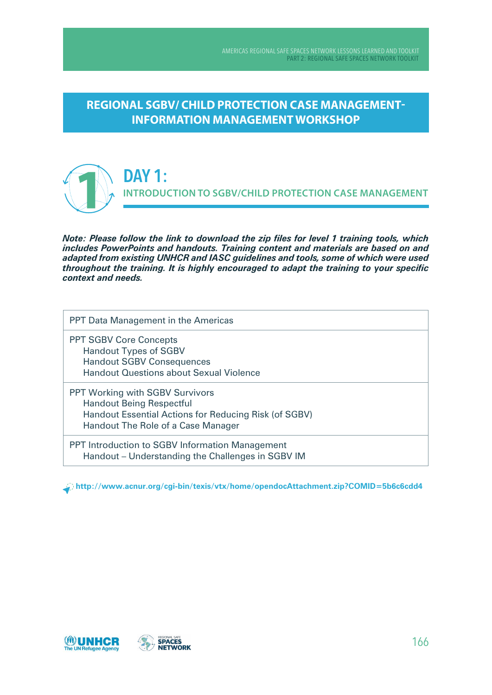**REGIONAL SGBV/ CHILD PROTECTION CASE MANAGEMENT-INFORMATION MANAGEMENT WORKSHOP** 



**DaY 1: INTRODUCTION TO SGBV/CHILD PROTECTION CASE MANAGEMENT**

*Note: Please follow the link to download the zip files for level 1 training tools, which includes PowerPoints and handouts. Training content and materials are based on and adapted from existing UNHCR and IASC guidelines and tools, some of which were used throughout the training. It is highly encouraged to adapt the training to your specific context and needs.*

PPT Data Management in the Americas

PPT SGBV Core Concepts Handout Types of SGBV Handout SGBV Consequences Handout Questions about Sexual Violence

PPT Working with SGBV Survivors Handout Being Respectful Handout Essential Actions for Reducing Risk (of SGBV) Handout The Role of a Case Manager

PPT Introduction to SGBV Information Management Handout – Understanding the Challenges in SGBV IM

**http://www.acnur.org/cgi-bin/texis/vtx/home/opendocAttachment.zip?CoMID=5b6c6cdd4**

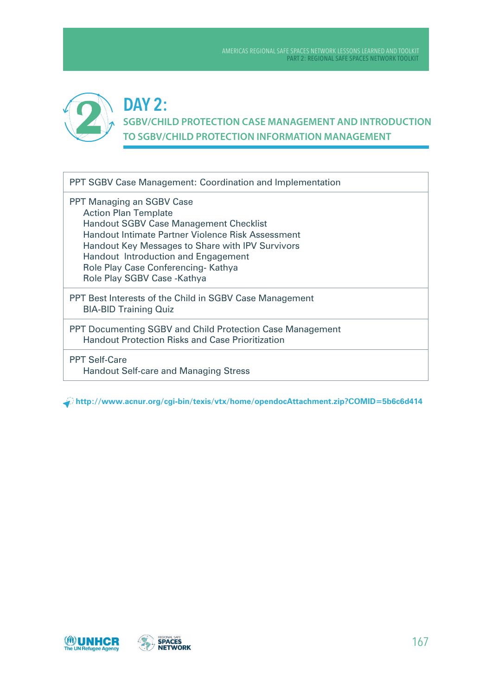

## **DaY 2: SGBV/CHILD PROTECTION CASE MANAGEMENT AND INTRODUCTION TO SGBV/CHILD PROTECTION INFORMATION MANAGEMENT**

PPT SGBV Case Management: Coordination and Implementation

PPT Managing an SGBV Case Action Plan Template Handout SGBV Case Management Checklist Handout Intimate Partner Violence Risk Assessment Handout Key Messages to Share with IPV Survivors Handout Introduction and Engagement Role Play Case Conferencing- Kathya Role Play SGBV Case -Kathya

PPT Best Interests of the Child in SGBV Case Management BIA-BID Training Quiz

PPT Documenting SGBV and Child Protection Case Management Handout Protection Risks and Case Prioritization

PPT Self-Care Handout Self-care and Managing Stress

**http://www.acnur.org/cgi-bin/texis/vtx/home/opendocAttachment.zip?CoMID=5b6c6d414**